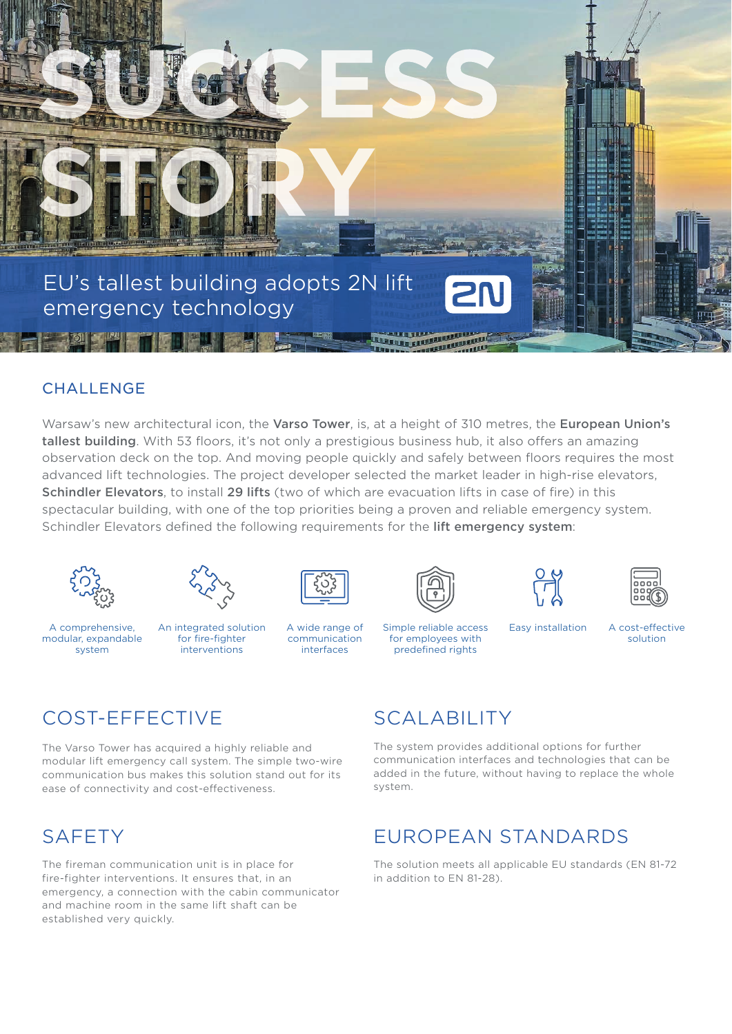

#### **CHALLENGE**

Warsaw's new architectural icon, the Varso Tower, is, at a height of 310 metres, the European Union's tallest building. With 53 floors, it's not only a prestigious business hub, it also offers an amazing observation deck on the top. And moving people quickly and safely between floors requires the most advanced lift technologies. The project developer selected the market leader in high-rise elevators, **Schindler Elevators**, to install 29 lifts (two of which are evacuation lifts in case of fire) in this spectacular building, with one of the top priorities being a proven and reliable emergency system. Schindler Elevators defined the following requirements for the lift emergency system:





A comprehensive, modular, expandable system



An integrated solution for fire-fighter interventions



communication interfaces







A wide range of Simple reliable access Easy installation for employees with predefined rights

A cost-effective solution

# COST-EFFECTIVE

The Varso Tower has acquired a highly reliable and modular lift emergency call system. The simple two-wire communication bus makes this solution stand out for its ease of connectivity and cost-effectiveness.

### **SAFETY**

The fireman communication unit is in place for fire-fighter interventions. It ensures that, in an emergency, a connection with the cabin communicator and machine room in the same lift shaft can be established very quickly.

# SCALABILITY

The system provides additional options for further communication interfaces and technologies that can be added in the future, without having to replace the whole system.

# EUROPEAN STANDARDS

The solution meets all applicable EU standards (EN 81-72 in addition to EN 81-28).